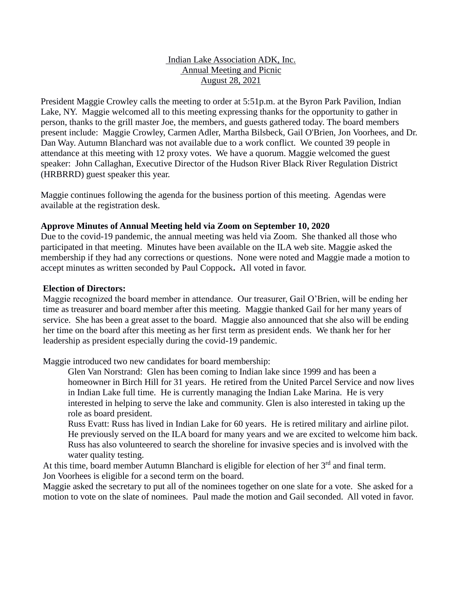# Indian Lake Association ADK, Inc. Annual Meeting and Picnic August 28, 2021

President Maggie Crowley calls the meeting to order at 5:51p.m. at the Byron Park Pavilion, Indian Lake, NY. Maggie welcomed all to this meeting expressing thanks for the opportunity to gather in person, thanks to the grill master Joe, the members, and guests gathered today. The board members present include: Maggie Crowley, Carmen Adler, Martha Bilsbeck, Gail O'Brien, Jon Voorhees, and Dr. Dan Way. Autumn Blanchard was not available due to a work conflict. We counted 39 people in attendance at this meeting with 12 proxy votes. We have a quorum. Maggie welcomed the guest speaker: John Callaghan, Executive Director of the Hudson River Black River Regulation District (HRBRRD) guest speaker this year.

Maggie continues following the agenda for the business portion of this meeting. Agendas were available at the registration desk.

## **Approve Minutes of Annual Meeting held via Zoom on September 10, 2020**

Due to the covid-19 pandemic, the annual meeting was held via Zoom. She thanked all those who participated in that meeting. Minutes have been available on the ILA web site. Maggie asked the membership if they had any corrections or questions. None were noted and Maggie made a motion to accept minutes as written seconded by Paul Coppock**.** All voted in favor.

#### **Election of Directors:**

Maggie recognized the board member in attendance. Our treasurer, Gail O'Brien, will be ending her time as treasurer and board member after this meeting. Maggie thanked Gail for her many years of service. She has been a great asset to the board. Maggie also announced that she also will be ending her time on the board after this meeting as her first term as president ends. We thank her for her leadership as president especially during the covid-19 pandemic.

Maggie introduced two new candidates for board membership:

- Glen Van Norstrand: Glen has been coming to Indian lake since 1999 and has been a homeowner in Birch Hill for 31 years. He retired from the United Parcel Service and now lives in Indian Lake full time. He is currently managing the Indian Lake Marina. He is very interested in helping to serve the lake and community. Glen is also interested in taking up the role as board president.
- Russ Evatt: Russ has lived in Indian Lake for 60 years. He is retired military and airline pilot. He previously served on the ILA board for many years and we are excited to welcome him back. Russ has also volunteered to search the shoreline for invasive species and is involved with the water quality testing.
- At this time, board member Autumn Blanchard is eligible for election of her  $3<sup>rd</sup>$  and final term. Jon Voorhees is eligible for a second term on the board.

Maggie asked the secretary to put all of the nominees together on one slate for a vote. She asked for a motion to vote on the slate of nominees. Paul made the motion and Gail seconded. All voted in favor.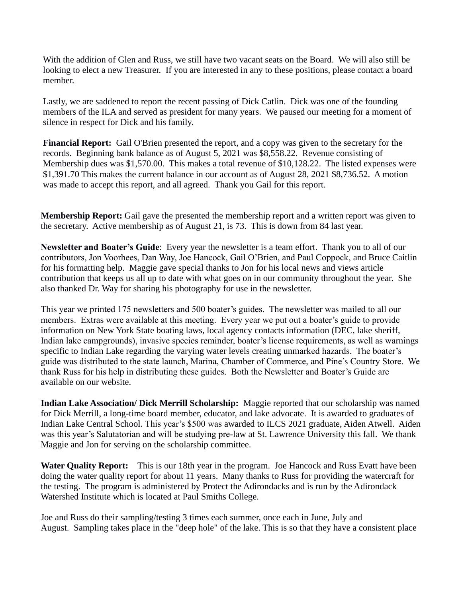With the addition of Glen and Russ, we still have two vacant seats on the Board. We will also still be looking to elect a new Treasurer. If you are interested in any to these positions, please contact a board member.

Lastly, we are saddened to report the recent passing of Dick Catlin. Dick was one of the founding members of the ILA and served as president for many years. We paused our meeting for a moment of silence in respect for Dick and his family.

**Financial Report:** Gail O'Brien presented the report, and a copy was given to the secretary for the records. Beginning bank balance as of August 5, 2021 was \$8,558.22. Revenue consisting of Membership dues was \$1,570.00. This makes a total revenue of \$10,128.22. The listed expenses were \$1,391.70 This makes the current balance in our account as of August 28, 2021 \$8,736.52. A motion was made to accept this report, and all agreed. Thank you Gail for this report.

**Membership Report:** Gail gave the presented the membership report and a written report was given to the secretary. Active membership as of August 21, is 73. This is down from 84 last year.

**Newsletter and Boater's Guide**: Every year the newsletter is a team effort. Thank you to all of our contributors, Jon Voorhees, Dan Way, Joe Hancock, Gail O'Brien, and Paul Coppock, and Bruce Caitlin for his formatting help. Maggie gave special thanks to Jon for his local news and views article contribution that keeps us all up to date with what goes on in our community throughout the year. She also thanked Dr. Way for sharing his photography for use in the newsletter.

This year we printed 175 newsletters and 500 boater's guides. The newsletter was mailed to all our members. Extras were available at this meeting. Every year we put out a boater's guide to provide information on New York State boating laws, local agency contacts information (DEC, lake sheriff, Indian lake campgrounds), invasive species reminder, boater's license requirements, as well as warnings specific to Indian Lake regarding the varying water levels creating unmarked hazards. The boater's guide was distributed to the state launch, Marina, Chamber of Commerce, and Pine's Country Store. We thank Russ for his help in distributing these guides. Both the Newsletter and Boater's Guide are available on our website.

**Indian Lake Association/ Dick Merrill Scholarship:** Maggie reported that our scholarship was named for Dick Merrill, a long-time board member, educator, and lake advocate. It is awarded to graduates of Indian Lake Central School. This year's \$500 was awarded to ILCS 2021 graduate, Aiden Atwell. Aiden was this year's Salutatorian and will be studying pre-law at St. Lawrence University this fall. We thank Maggie and Jon for serving on the scholarship committee.

**Water Quality Report:** This is our 18th year in the program. Joe Hancock and Russ Evatt have been doing the water quality report for about 11 years. Many thanks to Russ for providing the watercraft for the testing. The program is administered by Protect the Adirondacks and is run by the Adirondack Watershed Institute which is located at Paul Smiths College.

Joe and Russ do their sampling/testing 3 times each summer, once each in June, July and August. Sampling takes place in the "deep hole" of the lake. This is so that they have a consistent place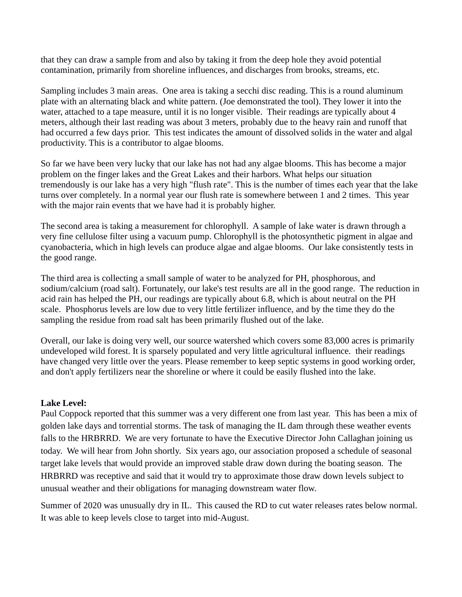that they can draw a sample from and also by taking it from the deep hole they avoid potential contamination, primarily from shoreline influences, and discharges from brooks, streams, etc.

Sampling includes 3 main areas. One area is taking a secchi disc reading. This is a round aluminum plate with an alternating black and white pattern. (Joe demonstrated the tool). They lower it into the water, attached to a tape measure, until it is no longer visible. Their readings are typically about 4 meters, although their last reading was about 3 meters, probably due to the heavy rain and runoff that had occurred a few days prior. This test indicates the amount of dissolved solids in the water and algal productivity. This is a contributor to algae blooms.

So far we have been very lucky that our lake has not had any algae blooms. This has become a major problem on the finger lakes and the Great Lakes and their harbors. What helps our situation tremendously is our lake has a very high "flush rate". This is the number of times each year that the lake turns over completely. In a normal year our flush rate is somewhere between 1 and 2 times. This year with the major rain events that we have had it is probably higher.

The second area is taking a measurement for chlorophyll. A sample of lake water is drawn through a very fine cellulose filter using a vacuum pump. Chlorophyll is the photosynthetic pigment in algae and cyanobacteria, which in high levels can produce algae and algae blooms. Our lake consistently tests in the good range.

The third area is collecting a small sample of water to be analyzed for PH, phosphorous, and sodium/calcium (road salt). Fortunately, our lake's test results are all in the good range. The reduction in acid rain has helped the PH, our readings are typically about 6.8, which is about neutral on the PH scale. Phosphorus levels are low due to very little fertilizer influence, and by the time they do the sampling the residue from road salt has been primarily flushed out of the lake.

Overall, our lake is doing very well, our source watershed which covers some 83,000 acres is primarily undeveloped wild forest. It is sparsely populated and very little agricultural influence. their readings have changed very little over the years. Please remember to keep septic systems in good working order, and don't apply fertilizers near the shoreline or where it could be easily flushed into the lake.

#### **Lake Level:**

Paul Coppock reported that this summer was a very different one from last year. This has been a mix of golden lake days and torrential storms. The task of managing the IL dam through these weather events falls to the HRBRRD. We are very fortunate to have the Executive Director John Callaghan joining us today. We will hear from John shortly. Six years ago, our association proposed a schedule of seasonal target lake levels that would provide an improved stable draw down during the boating season. The HRBRRD was receptive and said that it would try to approximate those draw down levels subject to unusual weather and their obligations for managing downstream water flow.

Summer of 2020 was unusually dry in IL. This caused the RD to cut water releases rates below normal. It was able to keep levels close to target into mid-August.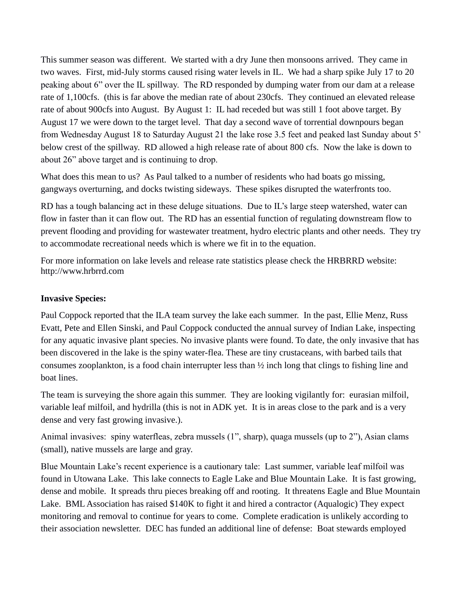This summer season was different. We started with a dry June then monsoons arrived. They came in two waves. First, mid-July storms caused rising water levels in IL. We had a sharp spike July 17 to 20 peaking about 6" over the IL spillway. The RD responded by dumping water from our dam at a release rate of 1,100cfs. (this is far above the median rate of about 230cfs. They continued an elevated release rate of about 900cfs into August. By August 1: IL had receded but was still 1 foot above target. By August 17 we were down to the target level. That day a second wave of torrential downpours began from Wednesday August 18 to Saturday August 21 the lake rose 3.5 feet and peaked last Sunday about 5' below crest of the spillway. RD allowed a high release rate of about 800 cfs. Now the lake is down to about 26" above target and is continuing to drop.

What does this mean to us? As Paul talked to a number of residents who had boats go missing, gangways overturning, and docks twisting sideways. These spikes disrupted the waterfronts too.

RD has a tough balancing act in these deluge situations. Due to IL's large steep watershed, water can flow in faster than it can flow out. The RD has an essential function of regulating downstream flow to prevent flooding and providing for wastewater treatment, hydro electric plants and other needs. They try to accommodate recreational needs which is where we fit in to the equation.

For more information on lake levels and release rate statistics please check the HRBRRD website: [http://www.hrbrrd.com](http://www.hrbrrd.com/)

# **Invasive Species:**

Paul Coppock reported that the ILA team survey the lake each summer. In the past, Ellie Menz, Russ Evatt, Pete and Ellen Sinski, and Paul Coppock conducted the annual survey of Indian Lake, inspecting for any aquatic invasive plant species. No invasive plants were found. To date, the only invasive that has been discovered in the lake is the spiny water-flea. These are tiny crustaceans, with barbed tails that consumes zooplankton, is a food chain interrupter less than ½ inch long that clings to fishing line and boat lines.

The team is surveying the shore again this summer. They are looking vigilantly for: eurasian milfoil, variable leaf milfoil, and hydrilla (this is not in ADK yet. It is in areas close to the park and is a very dense and very fast growing invasive.).

Animal invasives: spiny waterfleas, zebra mussels (1", sharp), quaga mussels (up to 2"), Asian clams (small), native mussels are large and gray.

Blue Mountain Lake's recent experience is a cautionary tale: Last summer, variable leaf milfoil was found in Utowana Lake. This lake connects to Eagle Lake and Blue Mountain Lake. It is fast growing, dense and mobile. It spreads thru pieces breaking off and rooting. It threatens Eagle and Blue Mountain Lake. BML Association has raised \$140K to fight it and hired a contractor (Aqualogic) They expect monitoring and removal to continue for years to come. Complete eradication is unlikely according to their association newsletter. DEC has funded an additional line of defense: Boat stewards employed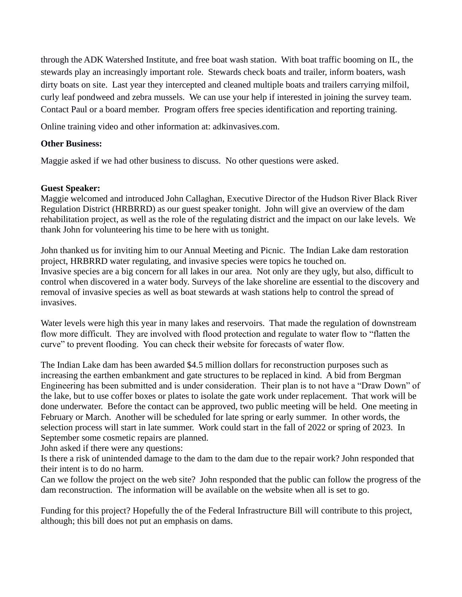through the ADK Watershed Institute, and free boat wash station. With boat traffic booming on IL, the stewards play an increasingly important role. Stewards check boats and trailer, inform boaters, wash dirty boats on site. Last year they intercepted and cleaned multiple boats and trailers carrying milfoil, curly leaf pondweed and zebra mussels. We can use your help if interested in joining the survey team. Contact Paul or a board member. Program offers free species identification and reporting training.

Online training video and other information at: adkinvasives.com.

## **Other Business:**

Maggie asked if we had other business to discuss. No other questions were asked.

#### **Guest Speaker:**

Maggie welcomed and introduced John Callaghan, Executive Director of the Hudson River Black River Regulation District (HRBRRD) as our guest speaker tonight. John will give an overview of the dam rehabilitation project, as well as the role of the regulating district and the impact on our lake levels. We thank John for volunteering his time to be here with us tonight.

John thanked us for inviting him to our Annual Meeting and Picnic. The Indian Lake dam restoration project, HRBRRD water regulating, and invasive species were topics he touched on. Invasive species are a big concern for all lakes in our area. Not only are they ugly, but also, difficult to control when discovered in a water body. Surveys of the lake shoreline are essential to the discovery and removal of invasive species as well as boat stewards at wash stations help to control the spread of invasives.

Water levels were high this year in many lakes and reservoirs. That made the regulation of downstream flow more difficult. They are involved with flood protection and regulate to water flow to "flatten the curve" to prevent flooding. You can check their website for forecasts of water flow.

The Indian Lake dam has been awarded \$4.5 million dollars for reconstruction purposes such as increasing the earthen embankment and gate structures to be replaced in kind. A bid from Bergman Engineering has been submitted and is under consideration. Their plan is to not have a "Draw Down" of the lake, but to use coffer boxes or plates to isolate the gate work under replacement. That work will be done underwater. Before the contact can be approved, two public meeting will be held. One meeting in February or March. Another will be scheduled for late spring or early summer. In other words, the selection process will start in late summer. Work could start in the fall of 2022 or spring of 2023. In September some cosmetic repairs are planned.

John asked if there were any questions:

Is there a risk of unintended damage to the dam to the dam due to the repair work? John responded that their intent is to do no harm.

Can we follow the project on the web site? John responded that the public can follow the progress of the dam reconstruction. The information will be available on the website when all is set to go.

Funding for this project? Hopefully the of the Federal Infrastructure Bill will contribute to this project, although; this bill does not put an emphasis on dams.